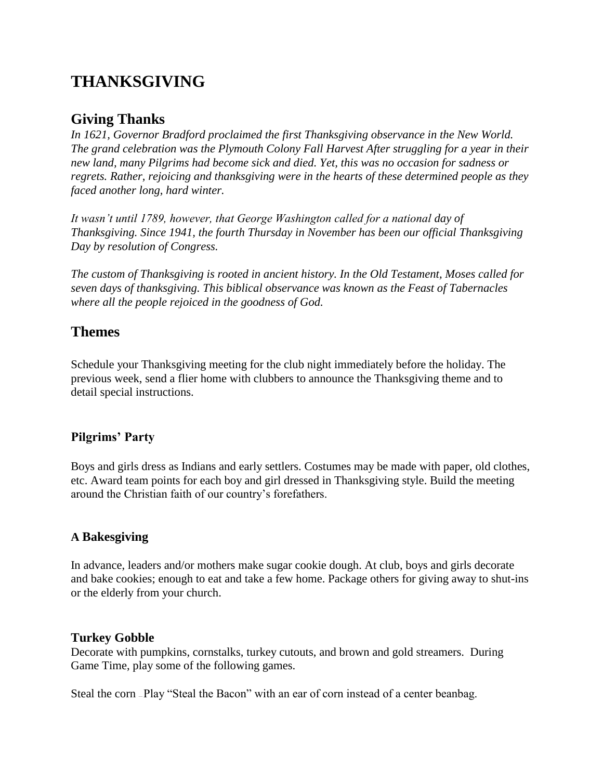# **THANKSGIVING**

## **Giving Thanks**

*In 1621, Governor Bradford proclaimed the first Thanksgiving observance in the New World. The grand celebration was the Plymouth Colony Fall Harvest After struggling for a year in their new land, many Pilgrims had become sick and died. Yet, this was no occasion for sadness or regrets. Rather, rejoicing and thanksgiving were in the hearts of these determined people as they faced another long, hard winter.*

*It wasn't until 1789, however, that George Washington called for a national day of Thanksgiving. Since 1941, the fourth Thursday in November has been our official Thanksgiving Day by resolution of Congress.*

*The custom of Thanksgiving is rooted in ancient history. In the Old Testament, Moses called for seven days of thanksgiving. This biblical observance was known as the Feast of Tabernacles where all the people rejoiced in the goodness of God.*

## **Themes**

Schedule your Thanksgiving meeting for the club night immediately before the holiday. The previous week, send a flier home with clubbers to announce the Thanksgiving theme and to detail special instructions.

#### **Pilgrims' Party**

Boys and girls dress as Indians and early settlers. Costumes may be made with paper, old clothes, etc. Award team points for each boy and girl dressed in Thanksgiving style. Build the meeting around the Christian faith of our country's forefathers.

#### **A Bakesgiving**

In advance, leaders and/or mothers make sugar cookie dough. At club, boys and girls decorate and bake cookies; enough to eat and take a few home. Package others for giving away to shut-ins or the elderly from your church.

#### **Turkey Gobble**

Decorate with pumpkins, cornstalks, turkey cutouts, and brown and gold streamers. During Game Time, play some of the following games.

Steal the corn — Play "Steal the Bacon" with an ear of corn instead of a center beanbag.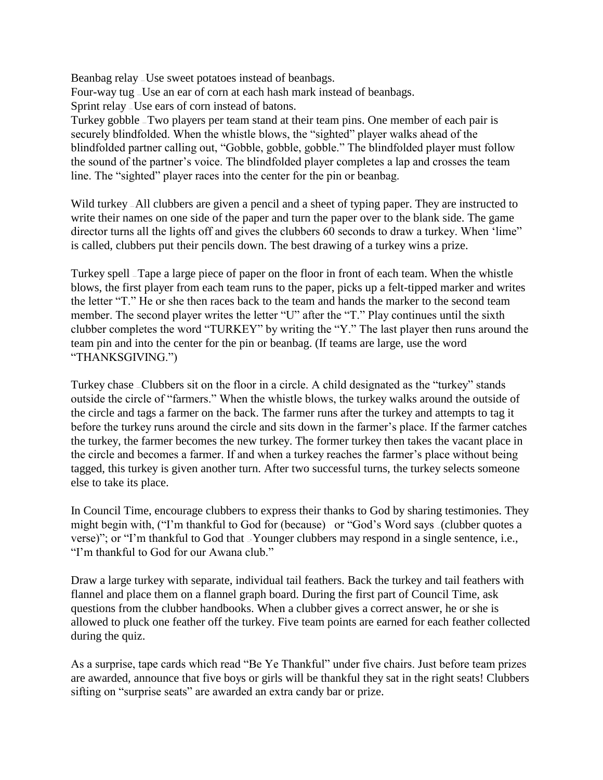Beanbag relay – Use sweet potatoes instead of beanbags. Four-way tug — Use an ear of corn at each hash mark instead of beanbags. Sprint relay — Use ears of corn instead of batons.

Turkey gobble — Two players per team stand at their team pins. One member of each pair is securely blindfolded. When the whistle blows, the "sighted" player walks ahead of the blindfolded partner calling out, "Gobble, gobble, gobble." The blindfolded player must follow the sound of the partner's voice. The blindfolded player completes a lap and crosses the team line. The "sighted" player races into the center for the pin or beanbag.

Wild turkey  $-A$ ll clubbers are given a pencil and a sheet of typing paper. They are instructed to write their names on one side of the paper and turn the paper over to the blank side. The game director turns all the lights off and gives the clubbers 60 seconds to draw a turkey. When 'lime" is called, clubbers put their pencils down. The best drawing of a turkey wins a prize.

Turkey spell — Tape a large piece of paper on the floor in front of each team. When the whistle blows, the first player from each team runs to the paper, picks up a felt-tipped marker and writes the letter "T." He or she then races back to the team and hands the marker to the second team member. The second player writes the letter "U" after the "T." Play continues until the sixth clubber completes the word "TURKEY" by writing the "Y." The last player then runs around the team pin and into the center for the pin or beanbag. (If teams are large, use the word "THANKSGIVING.")

Turkey chase — Clubbers sit on the floor in a circle. A child designated as the "turkey" stands outside the circle of "farmers." When the whistle blows, the turkey walks around the outside of the circle and tags a farmer on the back. The farmer runs after the turkey and attempts to tag it before the turkey runs around the circle and sits down in the farmer's place. If the farmer catches the turkey, the farmer becomes the new turkey. The former turkey then takes the vacant place in the circle and becomes a farmer. If and when a turkey reaches the farmer's place without being tagged, this turkey is given another turn. After two successful turns, the turkey selects someone else to take its place.

In Council Time, encourage clubbers to express their thanks to God by sharing testimonies. They might begin with, ("I'm thankful to God for (because) or "God's Word says (clubber quotes a verse)"; or "I'm thankful to God that ... Younger clubbers may respond in a single sentence, i.e., "I'm thankful to God for our Awana club."

Draw a large turkey with separate, individual tail feathers. Back the turkey and tail feathers with flannel and place them on a flannel graph board. During the first part of Council Time, ask questions from the clubber handbooks. When a clubber gives a correct answer, he or she is allowed to pluck one feather off the turkey. Five team points are earned for each feather collected during the quiz.

As a surprise, tape cards which read "Be Ye Thankful" under five chairs. Just before team prizes are awarded, announce that five boys or girls will be thankful they sat in the right seats! Clubbers sifting on "surprise seats" are awarded an extra candy bar or prize.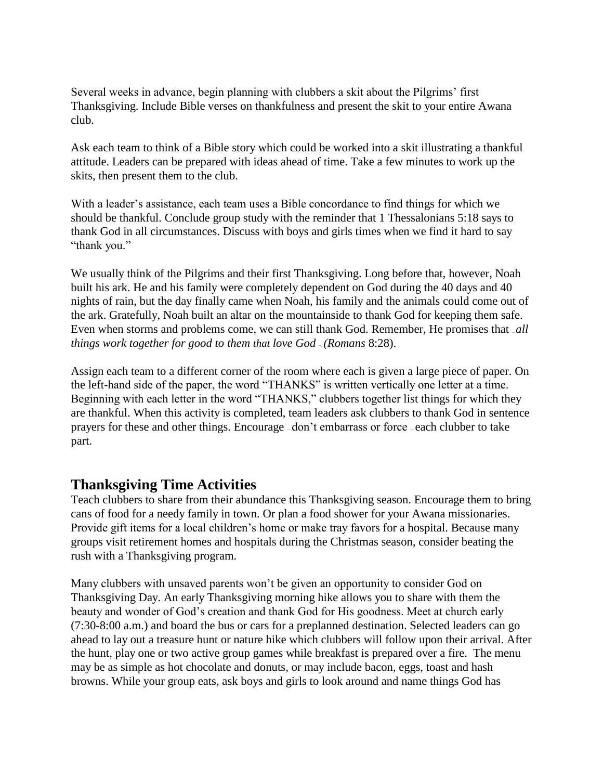Several weeks in advance, begin planning with clubbers a skit about the Pilgrims' first Thanksgiving. Include Bible verses on thankfulness and present the skit to your entire Awana club.

Ask each team to think of a Bible story which could be worked into a skit illustrating a thankful attitude. Leaders can be prepared with ideas ahead of time. Take a few minutes to work up the skits, then present them to the club.

With a leader's assistance, each team uses a Bible concordance to find things for which we should be thankful. Conclude group study with the reminder that 1 Thessalonians 5:18 says to thank God in all circumstances. Discuss with boys and girls times when we find it hard to say "thank you."

We usually think of the Pilgrims and their first Thanksgiving. Long before that, however, Noah built his ark. He and his family were completely dependent on God during the 40 days and 40 nights of rain, but the day finally came when Noah, his family and the animals could come out of the ark. Gratefully, Noah built an altar on the mountainside to thank God for keeping them safe. Even when storms and problems come, we can still thank God. Remember, He promises that *all things work together for good to them that love God* ~.. *(Romans* 8:28).

Assign each team to a different corner of the room where each is given a large piece of paper. On the left-hand side of the paper, the word "THANKS" is written vertically one letter at a time. Beginning with each letter in the word "THANKS," clubbers together list things for which they are thankful. When this activity is completed, team leaders ask clubbers to thank God in sentence prayers for these and other things. Encourage — don't embarrass or force — each clubber to take part.

## **Thanksgiving Time Activities**

Teach clubbers to share from their abundance this Thanksgiving season. Encourage them to bring cans of food for a needy family in town. Or plan a food shower for your Awana missionaries. Provide gift items for a local children's home or make tray favors for a hospital. Because many groups visit retirement homes and hospitals during the Christmas season, consider beating the rush with a Thanksgiving program.

Many clubbers with unsaved parents won't be given an opportunity to consider God on Thanksgiving Day. An early Thanksgiving morning hike allows you to share with them the beauty and wonder of God's creation and thank God for His goodness. Meet at church early (7:30-8:00 a.m.) and board the bus or cars for a preplanned destination. Selected leaders can go ahead to lay out a treasure hunt or nature hike which clubbers will follow upon their arrival. After the hunt, play one or two active group games while breakfast is prepared over a fire. The menu may be as simple as hot chocolate and donuts, or may include bacon, eggs, toast and hash browns. While your group eats, ask boys and girls to look around and name things God has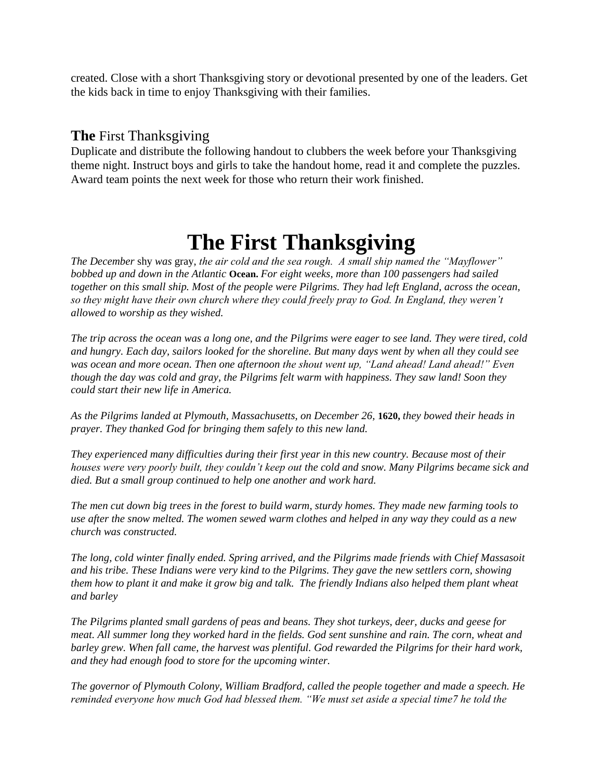created. Close with a short Thanksgiving story or devotional presented by one of the leaders. Get the kids back in time to enjoy Thanksgiving with their families.

### **The** First Thanksgiving

Duplicate and distribute the following handout to clubbers the week before your Thanksgiving theme night. Instruct boys and girls to take the handout home, read it and complete the puzzles. Award team points the next week for those who return their work finished.

# **The First Thanksgiving**

*The December* shy *was* gray, *the air cold and the sea rough. A small ship named the "Mayflower" bobbed up and down in the Atlantic* **Ocean.** *For eight weeks, more than 100 passengers had sailed together on this small ship. Most of the people were Pilgrims. They had left England, across the ocean, so they might have their own church where they could freely pray to God. In England, they weren't allowed to worship as they wished.*

*The trip across the ocean was a long one, and the Pilgrims were eager to see land. They were tired, cold and hungry. Each day, sailors looked for the shoreline. But many days went by when all they could see was ocean and more ocean. Then one afternoon the shout went up, "Land ahead! Land ahead!" Even though the day was cold and gray, the Pilgrims felt warm with happiness. They saw land! Soon they could start their new life in America.*

*As the Pilgrims landed at Plymouth, Massachusetts, on December 26,* **1620,** *they bowed their heads in prayer. They thanked God for bringing them safely to this new land.*

*They experienced many difficulties during their first year in this new country. Because most of their houses were very poorly built, they couldn't keep out the cold and snow. Many Pilgrims became sick and died. But a small group continued to help one another and work hard.*

*The men cut down big trees in the forest to build warm, sturdy homes. They made new farming tools to use after the snow melted. The women sewed warm clothes and helped in any way they could as a new church was constructed.*

*The long, cold winter finally ended. Spring arrived, and the Pilgrims made friends with Chief Massasoit and his tribe. These Indians were very kind to the Pilgrims. They gave the new settlers corn, showing them how to plant it and make it grow big and talk. The friendly Indians also helped them plant wheat and barley*

*The Pilgrims planted small gardens of peas and beans. They shot turkeys, deer, ducks and geese for meat. All summer long they worked hard in the fields. God sent sunshine and rain. The corn, wheat and barley grew. When fall came, the harvest was plentiful. God rewarded the Pilgrims for their hard work, and they had enough food to store for the upcoming winter.*

*The governor of Plymouth Colony, William Bradford, called the people together and made a speech. He reminded everyone how much God had blessed them. "We must set aside a special time7 he told the*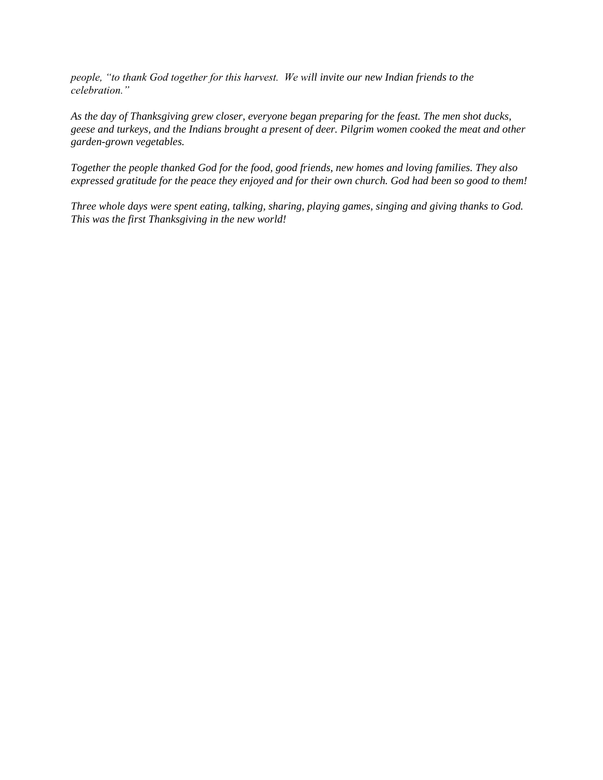*people, "to thank God together for this harvest. We will invite our new Indian friends to the celebration."*

*As the day of Thanksgiving grew closer, everyone began preparing for the feast. The men shot ducks, geese and turkeys, and the Indians brought a present of deer. Pilgrim women cooked the meat and other garden-grown vegetables.*

*Together the people thanked God for the food, good friends, new homes and loving families. They also expressed gratitude for the peace they enjoyed and for their own church. God had been so good to them!*

*Three whole days were spent eating, talking, sharing, playing games, singing and giving thanks to God. This was the first Thanksgiving in the new world!*